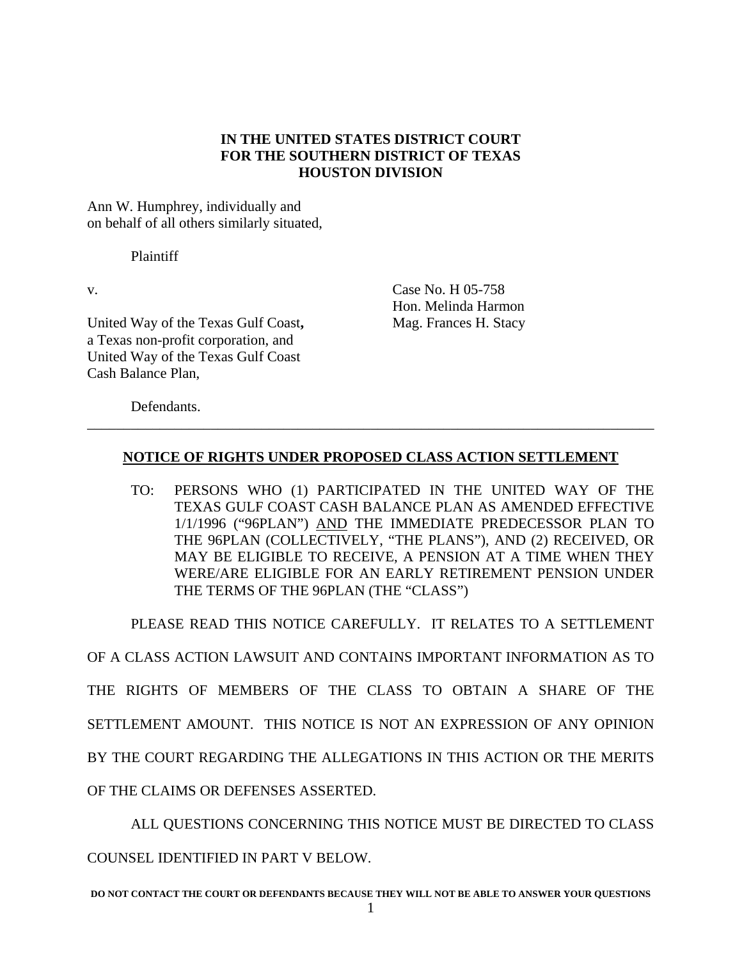# **IN THE UNITED STATES DISTRICT COURT FOR THE SOUTHERN DISTRICT OF TEXAS HOUSTON DIVISION**

Ann W. Humphrey, individually and on behalf of all others similarly situated,

Plaintiff

United Way of the Texas Gulf Coast, Mag. Frances H. Stacy a Texas non-profit corporation, and United Way of the Texas Gulf Coast Cash Balance Plan,

v. Case No. H 05-758 Hon. Melinda Harmon

Defendants.

# **NOTICE OF RIGHTS UNDER PROPOSED CLASS ACTION SETTLEMENT**

\_\_\_\_\_\_\_\_\_\_\_\_\_\_\_\_\_\_\_\_\_\_\_\_\_\_\_\_\_\_\_\_\_\_\_\_\_\_\_\_\_\_\_\_\_\_\_\_\_\_\_\_\_\_\_\_\_\_\_\_\_\_\_\_\_\_\_\_\_\_\_\_\_\_\_\_\_\_

TO: PERSONS WHO (1) PARTICIPATED IN THE UNITED WAY OF THE TEXAS GULF COAST CASH BALANCE PLAN AS AMENDED EFFECTIVE 1/1/1996 ("96PLAN") AND THE IMMEDIATE PREDECESSOR PLAN TO THE 96PLAN (COLLECTIVELY, "THE PLANS"), AND (2) RECEIVED, OR MAY BE ELIGIBLE TO RECEIVE, A PENSION AT A TIME WHEN THEY WERE/ARE ELIGIBLE FOR AN EARLY RETIREMENT PENSION UNDER THE TERMS OF THE 96PLAN (THE "CLASS")

PLEASE READ THIS NOTICE CAREFULLY. IT RELATES TO A SETTLEMENT

OF A CLASS ACTION LAWSUIT AND CONTAINS IMPORTANT INFORMATION AS TO THE RIGHTS OF MEMBERS OF THE CLASS TO OBTAIN A SHARE OF THE SETTLEMENT AMOUNT. THIS NOTICE IS NOT AN EXPRESSION OF ANY OPINION BY THE COURT REGARDING THE ALLEGATIONS IN THIS ACTION OR THE MERITS OF THE CLAIMS OR DEFENSES ASSERTED.

 ALL QUESTIONS CONCERNING THIS NOTICE MUST BE DIRECTED TO CLASS COUNSEL IDENTIFIED IN PART V BELOW.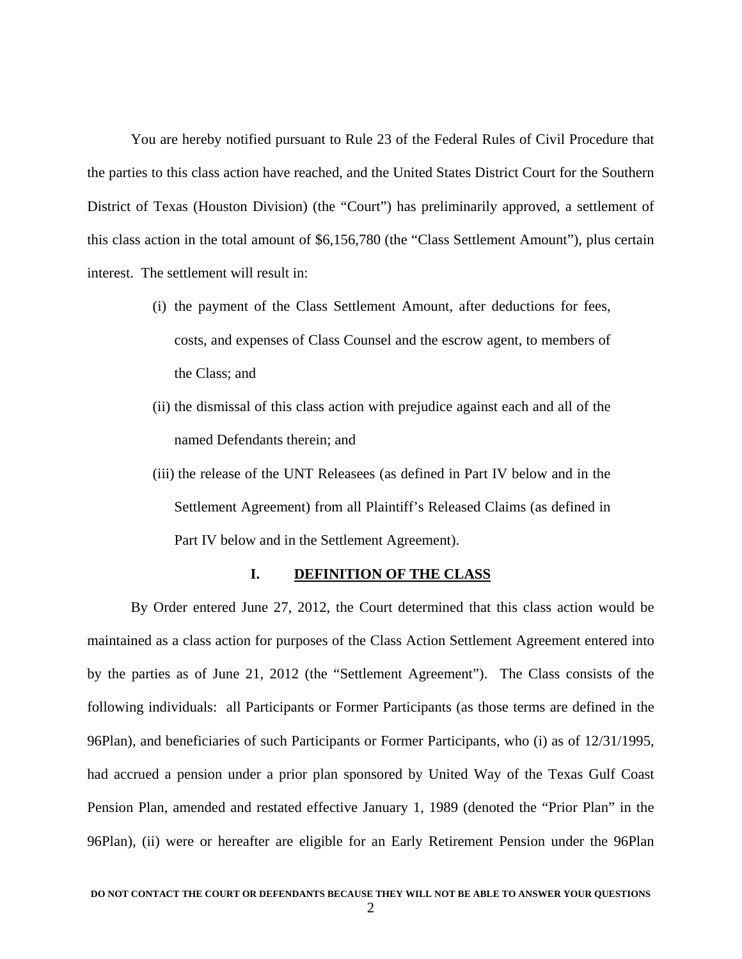You are hereby notified pursuant to Rule 23 of the Federal Rules of Civil Procedure that the parties to this class action have reached, and the United States District Court for the Southern District of Texas (Houston Division) (the "Court") has preliminarily approved, a settlement of this class action in the total amount of \$6,156,780 (the "Class Settlement Amount"), plus certain interest. The settlement will result in:

- (i) the payment of the Class Settlement Amount, after deductions for fees, costs, and expenses of Class Counsel and the escrow agent, to members of the Class; and
- (ii) the dismissal of this class action with prejudice against each and all of the named Defendants therein; and
- (iii) the release of the UNT Releasees (as defined in Part IV below and in the Settlement Agreement) from all Plaintiff's Released Claims (as defined in Part IV below and in the Settlement Agreement).

### **I. DEFINITION OF THE CLASS**

 By Order entered June 27, 2012, the Court determined that this class action would be maintained as a class action for purposes of the Class Action Settlement Agreement entered into by the parties as of June 21, 2012 (the "Settlement Agreement"). The Class consists of the following individuals: all Participants or Former Participants (as those terms are defined in the 96Plan), and beneficiaries of such Participants or Former Participants, who (i) as of 12/31/1995, had accrued a pension under a prior plan sponsored by United Way of the Texas Gulf Coast Pension Plan, amended and restated effective January 1, 1989 (denoted the "Prior Plan" in the 96Plan), (ii) were or hereafter are eligible for an Early Retirement Pension under the 96Plan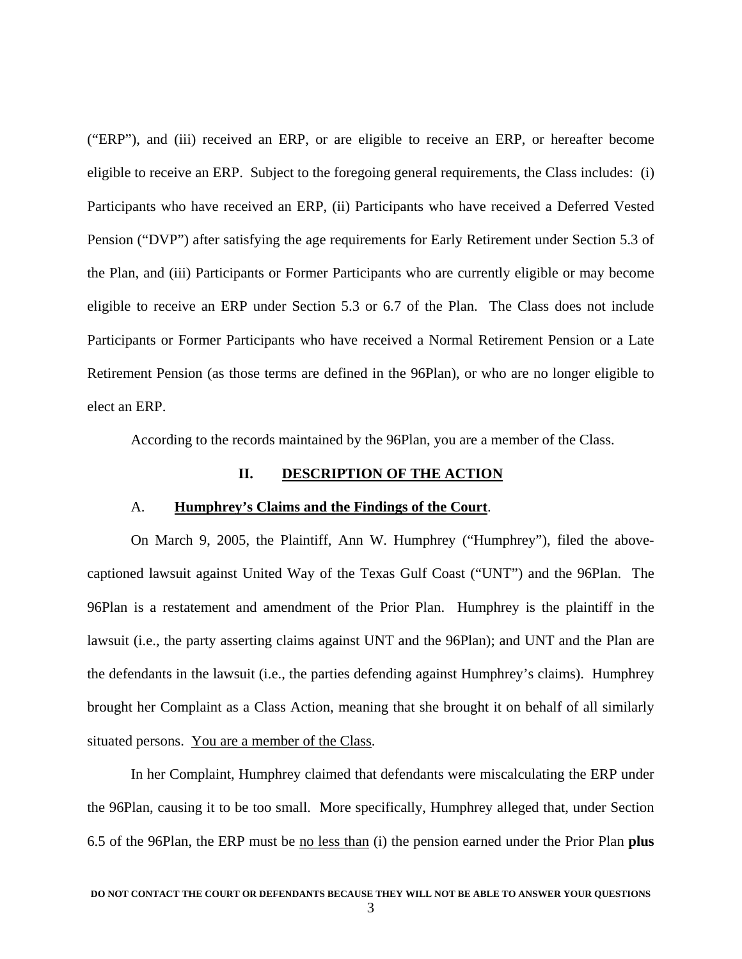("ERP"), and (iii) received an ERP, or are eligible to receive an ERP, or hereafter become eligible to receive an ERP. Subject to the foregoing general requirements, the Class includes: (i) Participants who have received an ERP, (ii) Participants who have received a Deferred Vested Pension ("DVP") after satisfying the age requirements for Early Retirement under Section 5.3 of the Plan, and (iii) Participants or Former Participants who are currently eligible or may become eligible to receive an ERP under Section 5.3 or 6.7 of the Plan. The Class does not include Participants or Former Participants who have received a Normal Retirement Pension or a Late Retirement Pension (as those terms are defined in the 96Plan), or who are no longer eligible to elect an ERP.

According to the records maintained by the 96Plan, you are a member of the Class.

### **II. DESCRIPTION OF THE ACTION**

### A. **Humphrey's Claims and the Findings of the Court**.

 On March 9, 2005, the Plaintiff, Ann W. Humphrey ("Humphrey"), filed the abovecaptioned lawsuit against United Way of the Texas Gulf Coast ("UNT") and the 96Plan. The 96Plan is a restatement and amendment of the Prior Plan. Humphrey is the plaintiff in the lawsuit (i.e., the party asserting claims against UNT and the 96Plan); and UNT and the Plan are the defendants in the lawsuit (i.e., the parties defending against Humphrey's claims). Humphrey brought her Complaint as a Class Action, meaning that she brought it on behalf of all similarly situated persons. You are a member of the Class.

 In her Complaint, Humphrey claimed that defendants were miscalculating the ERP under the 96Plan, causing it to be too small. More specifically, Humphrey alleged that, under Section 6.5 of the 96Plan, the ERP must be no less than (i) the pension earned under the Prior Plan **plus**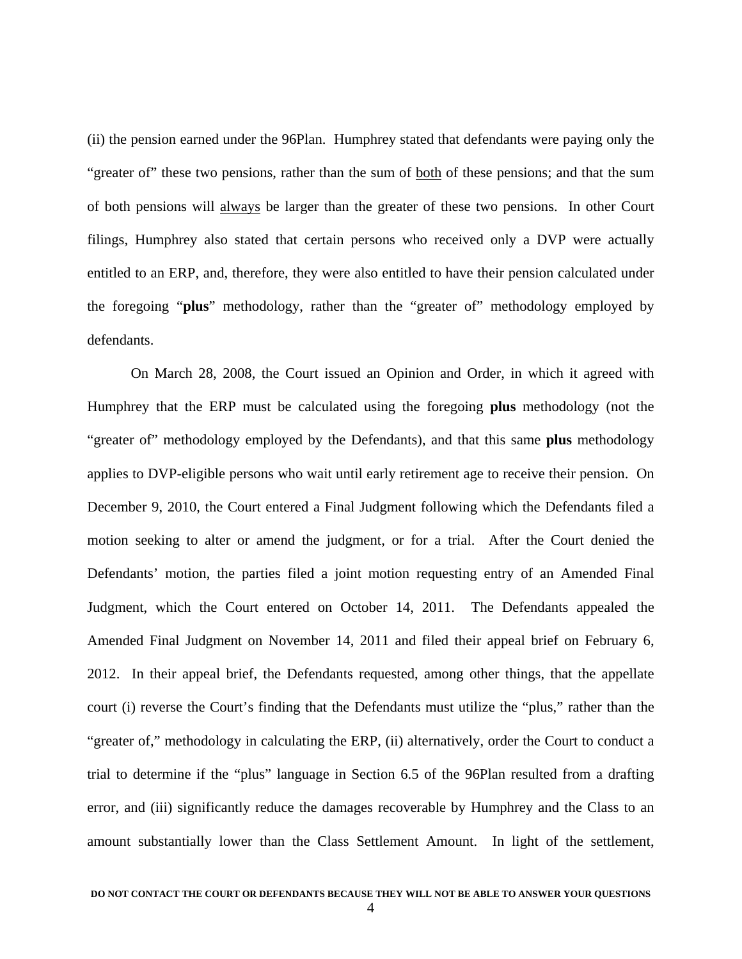(ii) the pension earned under the 96Plan. Humphrey stated that defendants were paying only the "greater of" these two pensions, rather than the sum of <u>both</u> of these pensions; and that the sum of both pensions will always be larger than the greater of these two pensions. In other Court filings, Humphrey also stated that certain persons who received only a DVP were actually entitled to an ERP, and, therefore, they were also entitled to have their pension calculated under the foregoing "**plus**" methodology, rather than the "greater of" methodology employed by defendants.

 On March 28, 2008, the Court issued an Opinion and Order, in which it agreed with Humphrey that the ERP must be calculated using the foregoing **plus** methodology (not the "greater of" methodology employed by the Defendants), and that this same **plus** methodology applies to DVP-eligible persons who wait until early retirement age to receive their pension. On December 9, 2010, the Court entered a Final Judgment following which the Defendants filed a motion seeking to alter or amend the judgment, or for a trial. After the Court denied the Defendants' motion, the parties filed a joint motion requesting entry of an Amended Final Judgment, which the Court entered on October 14, 2011. The Defendants appealed the Amended Final Judgment on November 14, 2011 and filed their appeal brief on February 6, 2012. In their appeal brief, the Defendants requested, among other things, that the appellate court (i) reverse the Court's finding that the Defendants must utilize the "plus," rather than the "greater of," methodology in calculating the ERP, (ii) alternatively, order the Court to conduct a trial to determine if the "plus" language in Section 6.5 of the 96Plan resulted from a drafting error, and (iii) significantly reduce the damages recoverable by Humphrey and the Class to an amount substantially lower than the Class Settlement Amount. In light of the settlement,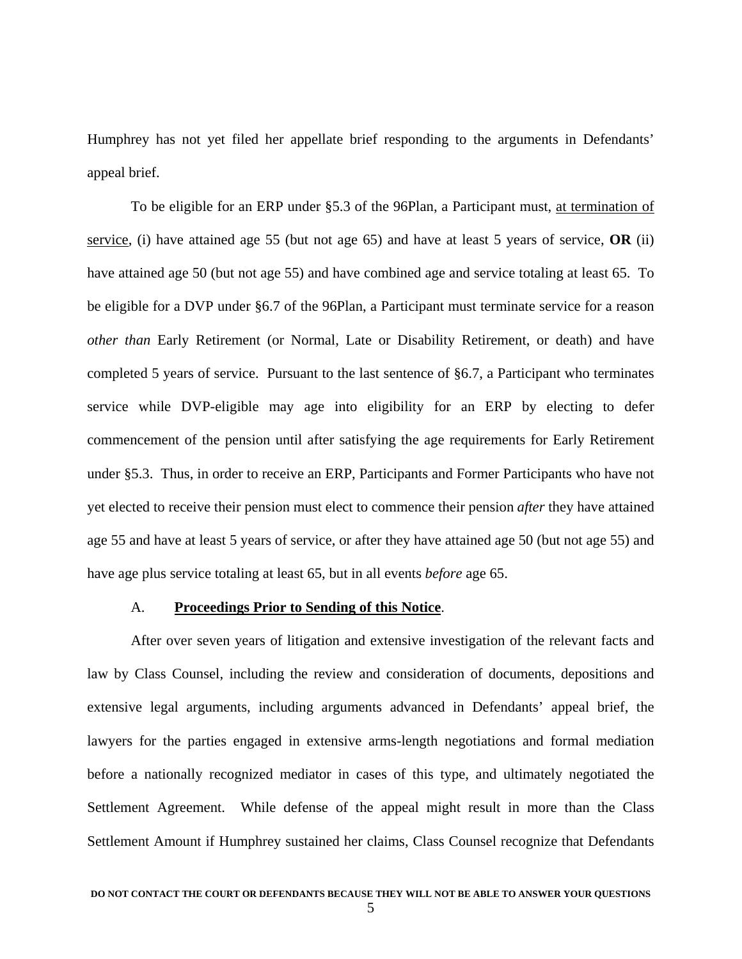Humphrey has not yet filed her appellate brief responding to the arguments in Defendants' appeal brief.

 To be eligible for an ERP under §5.3 of the 96Plan, a Participant must, at termination of service, (i) have attained age 55 (but not age 65) and have at least 5 years of service, **OR** (ii) have attained age 50 (but not age 55) and have combined age and service totaling at least 65. To be eligible for a DVP under §6.7 of the 96Plan, a Participant must terminate service for a reason *other than* Early Retirement (or Normal, Late or Disability Retirement, or death) and have completed 5 years of service. Pursuant to the last sentence of §6.7, a Participant who terminates service while DVP-eligible may age into eligibility for an ERP by electing to defer commencement of the pension until after satisfying the age requirements for Early Retirement under §5.3. Thus, in order to receive an ERP, Participants and Former Participants who have not yet elected to receive their pension must elect to commence their pension *after* they have attained age 55 and have at least 5 years of service, or after they have attained age 50 (but not age 55) and have age plus service totaling at least 65, but in all events *before* age 65.

### A. **Proceedings Prior to Sending of this Notice**.

 After over seven years of litigation and extensive investigation of the relevant facts and law by Class Counsel, including the review and consideration of documents, depositions and extensive legal arguments, including arguments advanced in Defendants' appeal brief, the lawyers for the parties engaged in extensive arms-length negotiations and formal mediation before a nationally recognized mediator in cases of this type, and ultimately negotiated the Settlement Agreement. While defense of the appeal might result in more than the Class Settlement Amount if Humphrey sustained her claims, Class Counsel recognize that Defendants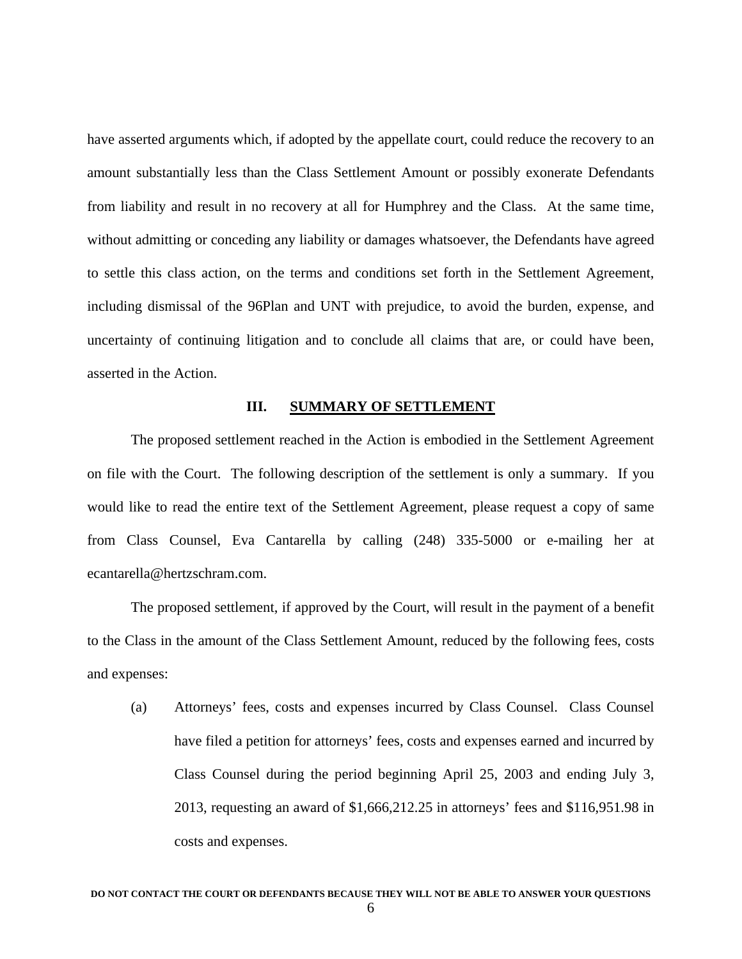have asserted arguments which, if adopted by the appellate court, could reduce the recovery to an amount substantially less than the Class Settlement Amount or possibly exonerate Defendants from liability and result in no recovery at all for Humphrey and the Class. At the same time, without admitting or conceding any liability or damages whatsoever, the Defendants have agreed to settle this class action, on the terms and conditions set forth in the Settlement Agreement, including dismissal of the 96Plan and UNT with prejudice, to avoid the burden, expense, and uncertainty of continuing litigation and to conclude all claims that are, or could have been, asserted in the Action.

#### **III. SUMMARY OF SETTLEMENT**

 The proposed settlement reached in the Action is embodied in the Settlement Agreement on file with the Court. The following description of the settlement is only a summary. If you would like to read the entire text of the Settlement Agreement, please request a copy of same from Class Counsel, Eva Cantarella by calling (248) 335-5000 or e-mailing her at ecantarella@hertzschram.com.

 The proposed settlement, if approved by the Court, will result in the payment of a benefit to the Class in the amount of the Class Settlement Amount, reduced by the following fees, costs and expenses:

 (a) Attorneys' fees, costs and expenses incurred by Class Counsel. Class Counsel have filed a petition for attorneys' fees, costs and expenses earned and incurred by Class Counsel during the period beginning April 25, 2003 and ending July 3, 2013, requesting an award of \$1,666,212.25 in attorneys' fees and \$116,951.98 in costs and expenses.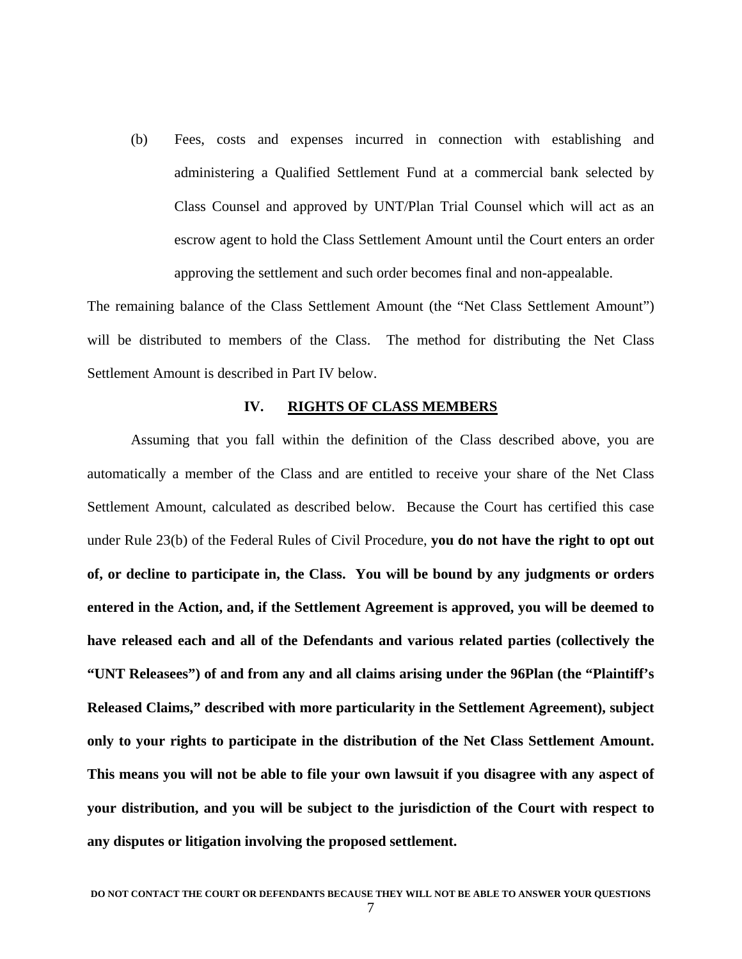(b) Fees, costs and expenses incurred in connection with establishing and administering a Qualified Settlement Fund at a commercial bank selected by Class Counsel and approved by UNT/Plan Trial Counsel which will act as an escrow agent to hold the Class Settlement Amount until the Court enters an order approving the settlement and such order becomes final and non-appealable.

The remaining balance of the Class Settlement Amount (the "Net Class Settlement Amount") will be distributed to members of the Class. The method for distributing the Net Class Settlement Amount is described in Part IV below.

### **IV. RIGHTS OF CLASS MEMBERS**

Assuming that you fall within the definition of the Class described above, you are automatically a member of the Class and are entitled to receive your share of the Net Class Settlement Amount, calculated as described below. Because the Court has certified this case under Rule 23(b) of the Federal Rules of Civil Procedure, **you do not have the right to opt out of, or decline to participate in, the Class. You will be bound by any judgments or orders entered in the Action, and, if the Settlement Agreement is approved, you will be deemed to have released each and all of the Defendants and various related parties (collectively the "UNT Releasees") of and from any and all claims arising under the 96Plan (the "Plaintiff's Released Claims," described with more particularity in the Settlement Agreement), subject only to your rights to participate in the distribution of the Net Class Settlement Amount. This means you will not be able to file your own lawsuit if you disagree with any aspect of your distribution, and you will be subject to the jurisdiction of the Court with respect to any disputes or litigation involving the proposed settlement.**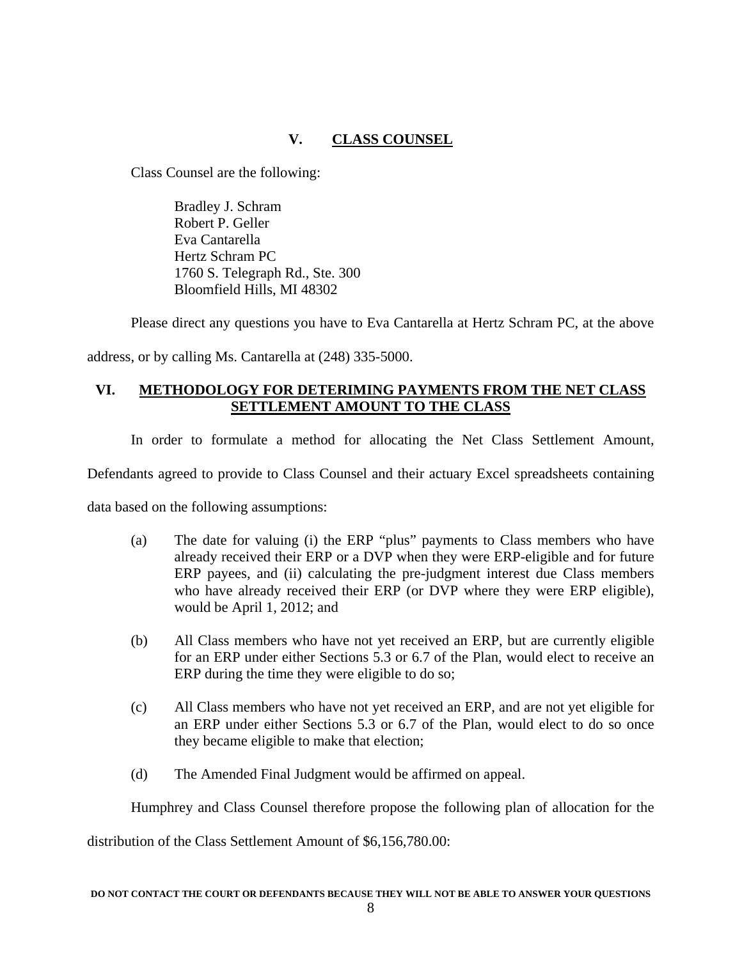# **V. CLASS COUNSEL**

Class Counsel are the following:

 Bradley J. Schram Robert P. Geller Eva Cantarella Hertz Schram PC 1760 S. Telegraph Rd., Ste. 300 Bloomfield Hills, MI 48302

Please direct any questions you have to Eva Cantarella at Hertz Schram PC, at the above

address, or by calling Ms. Cantarella at (248) 335-5000.

# **VI. METHODOLOGY FOR DETERIMING PAYMENTS FROM THE NET CLASS SETTLEMENT AMOUNT TO THE CLASS**

In order to formulate a method for allocating the Net Class Settlement Amount,

Defendants agreed to provide to Class Counsel and their actuary Excel spreadsheets containing

data based on the following assumptions:

- (a) The date for valuing (i) the ERP "plus" payments to Class members who have already received their ERP or a DVP when they were ERP-eligible and for future ERP payees, and (ii) calculating the pre-judgment interest due Class members who have already received their ERP (or DVP where they were ERP eligible), would be April 1, 2012; and
- (b) All Class members who have not yet received an ERP, but are currently eligible for an ERP under either Sections 5.3 or 6.7 of the Plan, would elect to receive an ERP during the time they were eligible to do so;
- (c) All Class members who have not yet received an ERP, and are not yet eligible for an ERP under either Sections 5.3 or 6.7 of the Plan, would elect to do so once they became eligible to make that election;
- (d) The Amended Final Judgment would be affirmed on appeal.

Humphrey and Class Counsel therefore propose the following plan of allocation for the

distribution of the Class Settlement Amount of \$6,156,780.00: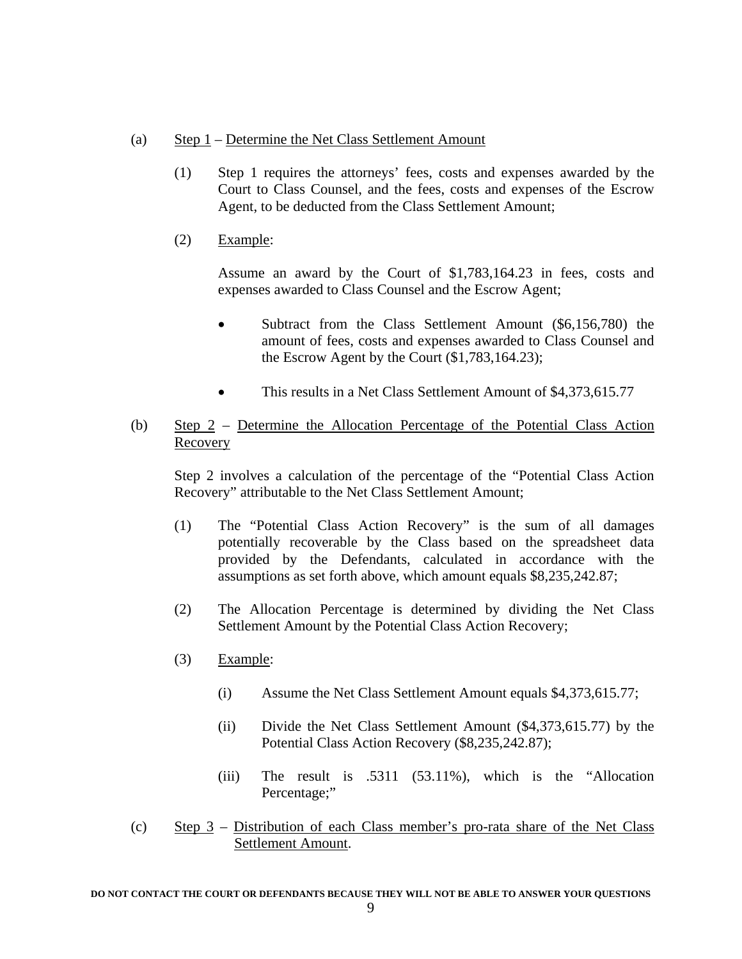- (a) Step 1 Determine the Net Class Settlement Amount
	- (1) Step 1 requires the attorneys' fees, costs and expenses awarded by the Court to Class Counsel, and the fees, costs and expenses of the Escrow Agent, to be deducted from the Class Settlement Amount;
	- (2) Example:

 Assume an award by the Court of \$1,783,164.23 in fees, costs and expenses awarded to Class Counsel and the Escrow Agent;

- Subtract from the Class Settlement Amount (\$6,156,780) the amount of fees, costs and expenses awarded to Class Counsel and the Escrow Agent by the Court (\$1,783,164.23);
- This results in a Net Class Settlement Amount of \$4,373,615.77
- (b) Step 2 Determine the Allocation Percentage of the Potential Class Action Recovery

 Step 2 involves a calculation of the percentage of the "Potential Class Action Recovery" attributable to the Net Class Settlement Amount;

- (1) The "Potential Class Action Recovery" is the sum of all damages potentially recoverable by the Class based on the spreadsheet data provided by the Defendants, calculated in accordance with the assumptions as set forth above, which amount equals \$8,235,242.87;
- (2) The Allocation Percentage is determined by dividing the Net Class Settlement Amount by the Potential Class Action Recovery;
- (3) Example:
	- (i) Assume the Net Class Settlement Amount equals \$4,373,615.77;
	- (ii) Divide the Net Class Settlement Amount (\$4,373,615.77) by the Potential Class Action Recovery (\$8,235,242.87);
	- (iii) The result is .5311 (53.11%), which is the "Allocation Percentage;"
- (c) Step 3 Distribution of each Class member's pro-rata share of the Net Class Settlement Amount.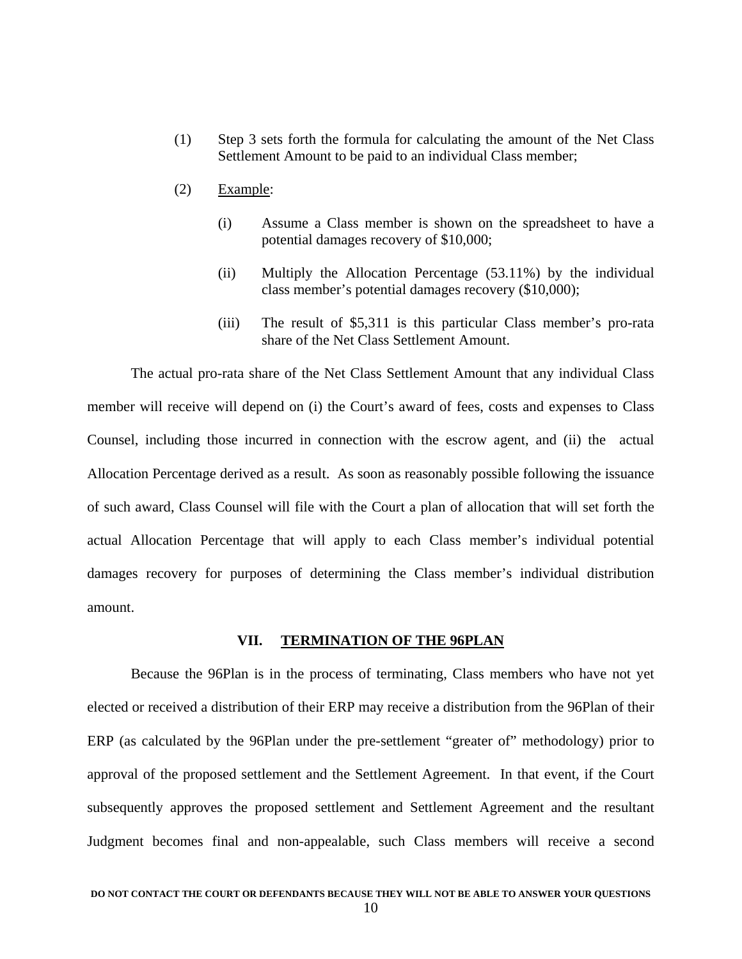- (1) Step 3 sets forth the formula for calculating the amount of the Net Class Settlement Amount to be paid to an individual Class member;
- (2) Example:
	- (i) Assume a Class member is shown on the spreadsheet to have a potential damages recovery of \$10,000;
	- (ii) Multiply the Allocation Percentage (53.11%) by the individual class member's potential damages recovery (\$10,000);
	- (iii) The result of \$5,311 is this particular Class member's pro-rata share of the Net Class Settlement Amount.

 The actual pro-rata share of the Net Class Settlement Amount that any individual Class member will receive will depend on (i) the Court's award of fees, costs and expenses to Class Counsel, including those incurred in connection with the escrow agent, and (ii) the actual Allocation Percentage derived as a result. As soon as reasonably possible following the issuance of such award, Class Counsel will file with the Court a plan of allocation that will set forth the actual Allocation Percentage that will apply to each Class member's individual potential damages recovery for purposes of determining the Class member's individual distribution amount.

### **VII. TERMINATION OF THE 96PLAN**

 Because the 96Plan is in the process of terminating, Class members who have not yet elected or received a distribution of their ERP may receive a distribution from the 96Plan of their ERP (as calculated by the 96Plan under the pre-settlement "greater of" methodology) prior to approval of the proposed settlement and the Settlement Agreement. In that event, if the Court subsequently approves the proposed settlement and Settlement Agreement and the resultant Judgment becomes final and non-appealable, such Class members will receive a second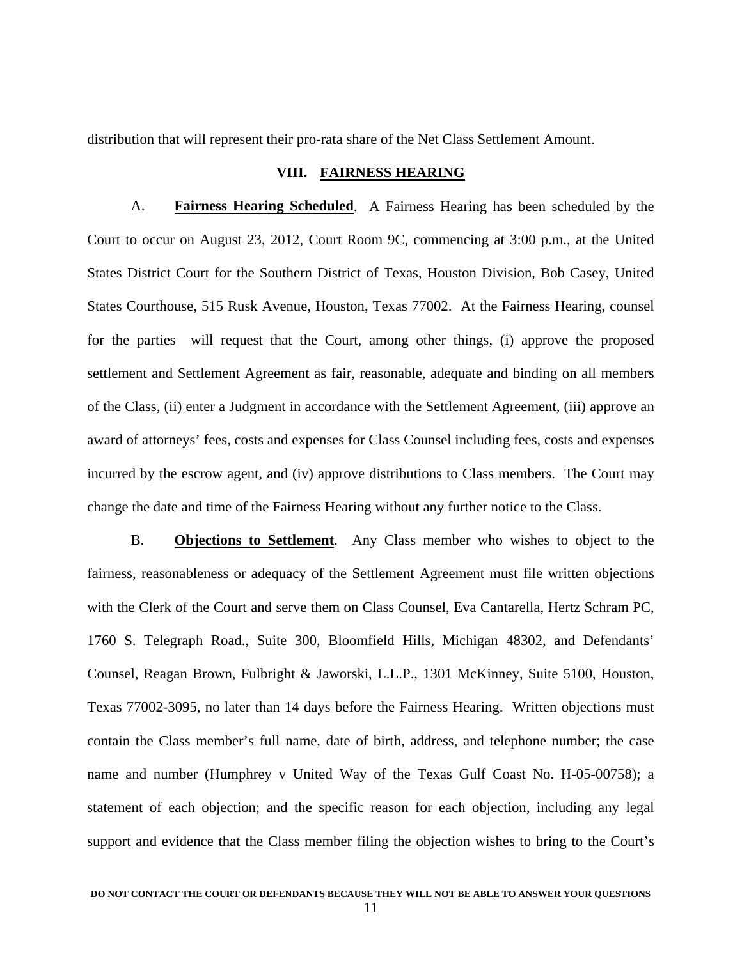distribution that will represent their pro-rata share of the Net Class Settlement Amount.

### **VIII. FAIRNESS HEARING**

 A. **Fairness Hearing Scheduled**. A Fairness Hearing has been scheduled by the Court to occur on August 23, 2012, Court Room 9C, commencing at 3:00 p.m., at the United States District Court for the Southern District of Texas, Houston Division, Bob Casey, United States Courthouse, 515 Rusk Avenue, Houston, Texas 77002. At the Fairness Hearing, counsel for the parties will request that the Court, among other things, (i) approve the proposed settlement and Settlement Agreement as fair, reasonable, adequate and binding on all members of the Class, (ii) enter a Judgment in accordance with the Settlement Agreement, (iii) approve an award of attorneys' fees, costs and expenses for Class Counsel including fees, costs and expenses incurred by the escrow agent, and (iv) approve distributions to Class members. The Court may change the date and time of the Fairness Hearing without any further notice to the Class.

 B. **Objections to Settlement**. Any Class member who wishes to object to the fairness, reasonableness or adequacy of the Settlement Agreement must file written objections with the Clerk of the Court and serve them on Class Counsel, Eva Cantarella, Hertz Schram PC, 1760 S. Telegraph Road., Suite 300, Bloomfield Hills, Michigan 48302, and Defendants' Counsel, Reagan Brown, Fulbright & Jaworski, L.L.P., 1301 McKinney, Suite 5100, Houston, Texas 77002-3095, no later than 14 days before the Fairness Hearing. Written objections must contain the Class member's full name, date of birth, address, and telephone number; the case name and number (Humphrey v United Way of the Texas Gulf Coast No. H-05-00758); a statement of each objection; and the specific reason for each objection, including any legal support and evidence that the Class member filing the objection wishes to bring to the Court's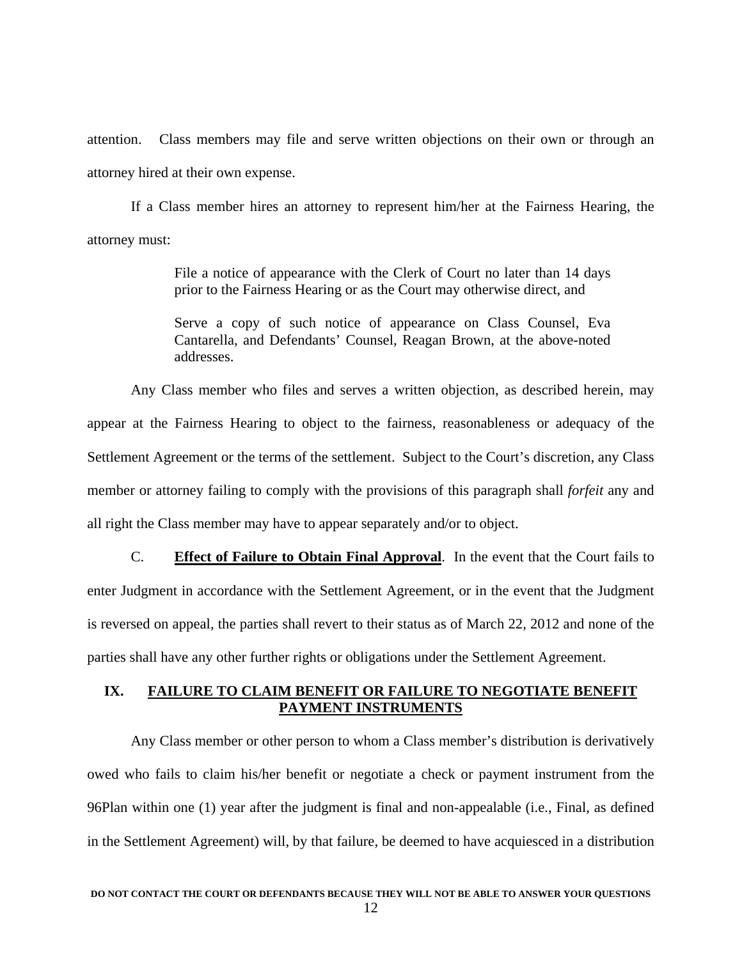attention. Class members may file and serve written objections on their own or through an attorney hired at their own expense.

 If a Class member hires an attorney to represent him/her at the Fairness Hearing, the attorney must:

> File a notice of appearance with the Clerk of Court no later than 14 days prior to the Fairness Hearing or as the Court may otherwise direct, and

> Serve a copy of such notice of appearance on Class Counsel, Eva Cantarella, and Defendants' Counsel, Reagan Brown, at the above-noted addresses.

 Any Class member who files and serves a written objection, as described herein, may appear at the Fairness Hearing to object to the fairness, reasonableness or adequacy of the Settlement Agreement or the terms of the settlement. Subject to the Court's discretion, any Class member or attorney failing to comply with the provisions of this paragraph shall *forfeit* any and all right the Class member may have to appear separately and/or to object.

 C. **Effect of Failure to Obtain Final Approval**. In the event that the Court fails to enter Judgment in accordance with the Settlement Agreement, or in the event that the Judgment is reversed on appeal, the parties shall revert to their status as of March 22, 2012 and none of the parties shall have any other further rights or obligations under the Settlement Agreement.

## **IX. FAILURE TO CLAIM BENEFIT OR FAILURE TO NEGOTIATE BENEFIT PAYMENT INSTRUMENTS**

 Any Class member or other person to whom a Class member's distribution is derivatively owed who fails to claim his/her benefit or negotiate a check or payment instrument from the 96Plan within one (1) year after the judgment is final and non-appealable (i.e., Final, as defined in the Settlement Agreement) will, by that failure, be deemed to have acquiesced in a distribution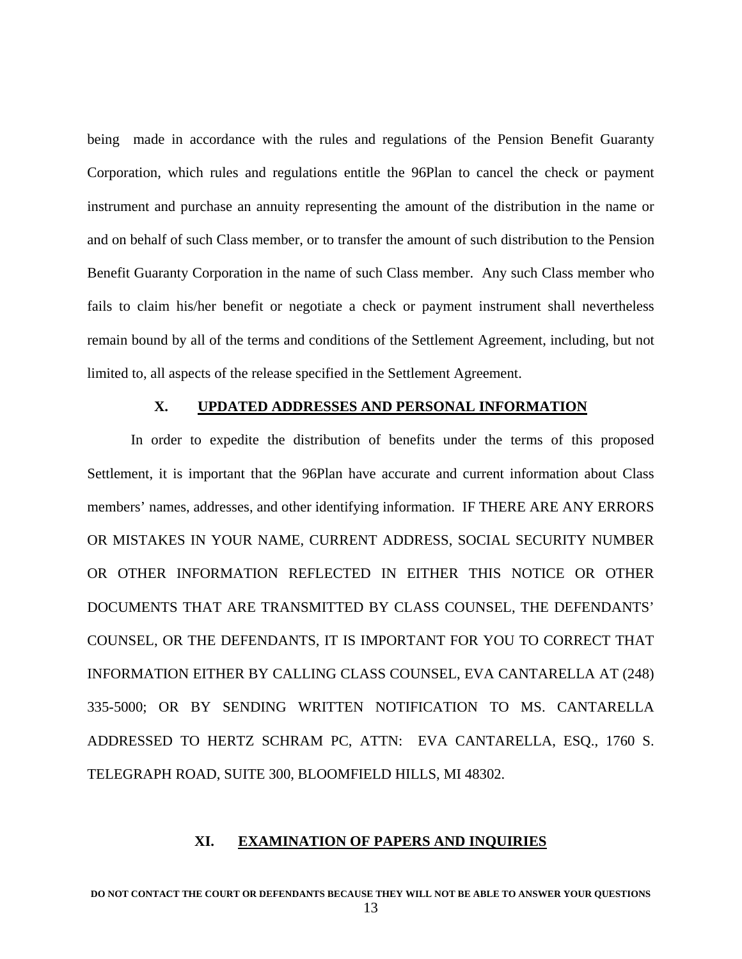being made in accordance with the rules and regulations of the Pension Benefit Guaranty Corporation, which rules and regulations entitle the 96Plan to cancel the check or payment instrument and purchase an annuity representing the amount of the distribution in the name or and on behalf of such Class member, or to transfer the amount of such distribution to the Pension Benefit Guaranty Corporation in the name of such Class member. Any such Class member who fails to claim his/her benefit or negotiate a check or payment instrument shall nevertheless remain bound by all of the terms and conditions of the Settlement Agreement, including, but not limited to, all aspects of the release specified in the Settlement Agreement.

### **X. UPDATED ADDRESSES AND PERSONAL INFORMATION**

 In order to expedite the distribution of benefits under the terms of this proposed Settlement, it is important that the 96Plan have accurate and current information about Class members' names, addresses, and other identifying information. IF THERE ARE ANY ERRORS OR MISTAKES IN YOUR NAME, CURRENT ADDRESS, SOCIAL SECURITY NUMBER OR OTHER INFORMATION REFLECTED IN EITHER THIS NOTICE OR OTHER DOCUMENTS THAT ARE TRANSMITTED BY CLASS COUNSEL, THE DEFENDANTS' COUNSEL, OR THE DEFENDANTS, IT IS IMPORTANT FOR YOU TO CORRECT THAT INFORMATION EITHER BY CALLING CLASS COUNSEL, EVA CANTARELLA AT (248) 335-5000; OR BY SENDING WRITTEN NOTIFICATION TO MS. CANTARELLA ADDRESSED TO HERTZ SCHRAM PC, ATTN: EVA CANTARELLA, ESQ., 1760 S. TELEGRAPH ROAD, SUITE 300, BLOOMFIELD HILLS, MI 48302.

#### **XI. EXAMINATION OF PAPERS AND INQUIRIES**